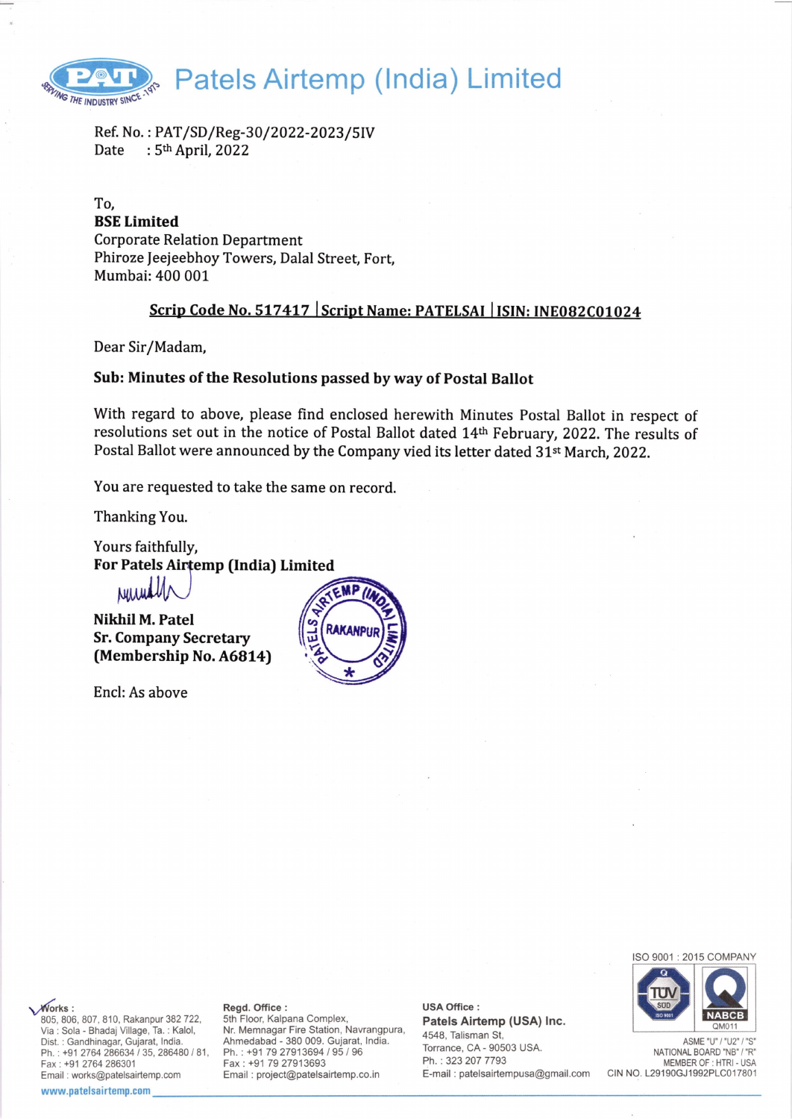

Ref. No.: PAT/SD/Reg-30/2022-2023/5IV<br>Date : 5<sup>th</sup> April. 2022 :  $5<sup>th</sup>$  April, 2022

To, BSE Limited Corporate Relation Department Phiroze feejeebhoy Towers, Dalal Street, Fort, Mumbai:400 001

# Scrip Code No. 517417 | Script Name: PATELSAI | ISIN: INE082C01024

Dear Sir/Madam,

### Sub: Minutes of the Resolutions passed by way of Postal Ballot

With regard to above, please find enclosed herewith Minutes Postal Ballot in respect of resolutions set out in the notice of Postal Ballot dated 14th February, 2022. The results of Postal Ballot were announced by the Company vied its letter dated 31<sup>st</sup> March, 2022.

You are requested to take the same on record.

Thanking You.

Yours faithfully, For Patels Airtemp (India) Limited

Numally

Nikhil M. Patel Sr. Company Secretary (Membership No. A6814)

Encl: As above



ISO 9001 : 2015 COMPANY



ASME "U" / "U2" NATIONAL BOARD "NB" / "R" MEMBER OF : HTRI - USA CIN NO. L29190GJ1992PLC017801

**Works:** 805, 806, 807, 810, Rakanpur 382 722. Via : Sola - Bhadaj Village, Ta. : Kalol, Dist. : Gandhinagar, Gujarat, lndia. Ph.: +91 2764 286634 / 35, 286480 / 81, Fax: +91 2764286301 Email : works@patelsairtemp.com

#### www.patelsairtemp.com

#### Regd. Office :

5th Floor, Kalpana Complex, Nr. Memnagar Fire Station, Navrangpura, Ahmedabad - 380 009. Gujarat, lndia. Ph. : +91 79 27913694 / 95 / 96 Fax: +91 79 27913693 Email : project@patelsairtemp.co.in

USA Office : Patels Airtemp (USA) lnc. 4548, Talisman St, Torrance, CA - 90503 USA. Ph. : 323 207 7793 E-mail : patelsairtempusa@gmail.com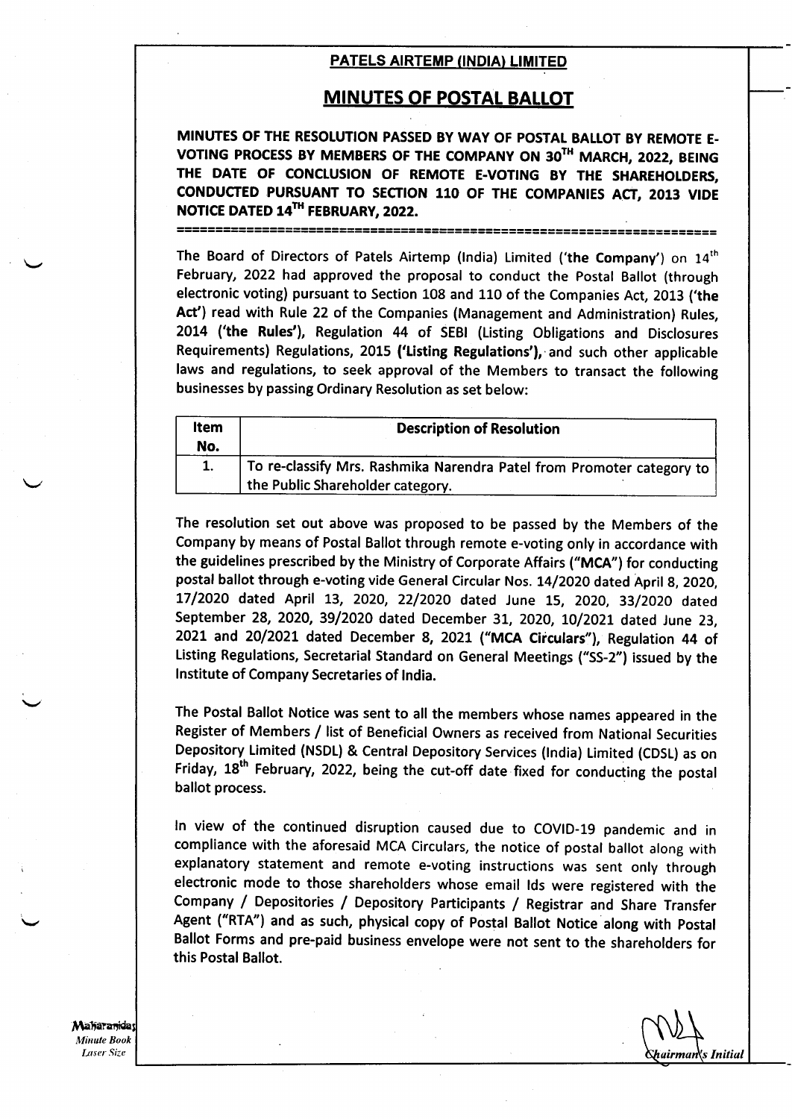## MINUTES OF POSTAL BALLOT

MINUTES OF THE RESOLUTION PASSED BY WAY OF POSTAL BALLOT BY REMOTE E-VOTING PROCESS BY MEMBERS OF THE COMPANY ON 30TH MARCH, 2022, BEING THE DATE OF CONCLUSION OF REMOTE E-VOTING BY THE SHAREHOLDERS. CONDUCTED PURSUANT TO SECTION 110 OF THE COMPANIES ACT, 2013 VIDE NOTICE DATED 14<sup>TH</sup> FEBRUARY, 2022. ]="=:':=il='3=t=::::::]I:='='='=1======================================

The Board of Directors of Patels Airtemp (India) Limited ('the Company') on 14<sup>th</sup> February, 2022 had approved the proposal to conduct the Postal Ballot (through electronic voting) pursuant to Section 108 and 110 of the Companies Act, 2013 ('the Act') read with Rule 22 of the Companies (Management and Administration) Rules, 20L4 ('the Rules'), Regulation 44 of SEBI (Listing Obligations and Disclosures Requirements) Regulations, 2015 ('Listing Regulations'), and such other applicable laws and regulations, to seek approval of the Members to transact the following businesses by passing Ordinary Resolution as set below:

| Item<br>No. | <b>Description of Resolution</b>                                                                          |
|-------------|-----------------------------------------------------------------------------------------------------------|
|             | To re-classify Mrs. Rashmika Narendra Patel from Promoter category to<br>the Public Shareholder category. |

The resolution set out above was proposed to be passed by the Members of the Company by means of Postal Ballot through remote e-voting only in accordance with the guidelines prescribed by the Ministry of Corporate Affairs ("MCA") for conducting postal ballot through e-voting vide General Circular Nos. 14/2020 dated April 8, 2020, 17/2020 dated April 13, 2020, 22/2020 dated June 15, 2020, 33/2020 dated September 28, 2020, 39/2020 dated December 31, 2020, 10/2021 dated June 23, 2021 and 20/2021 dated December 8, 2021 ("MCA Circulars"), Regulation 44 of Listing Regulations, Secretarial Standard on General Meetings ("SS-2") issued by the lnstitute of Company Secretaries of lndia.

The Postal Ballot Notice was sent to all the members whose names appeared in the Register of Members / list of Beneficial Owners as received from National Securities Depository. Limited (NSDL) & Central Depository Services (lndia) Limited (CDSI) as on Friday, 18<sup>th</sup> February, 2022, being the cut-off date fixed for conducting the postal ballot process.

ln view of the continued disruption caused due to COVID-19 pandemic and in compliance with the aforesaid MCA Circulars, the notice of postal ballot along with explanatory statement and remote e-voting instructions was sent only through electronic mode to those shareholders whose email lds were registered with the Company / Depositories / Depository Participants / Registrar and Share Transfer Agent ("RTA") and as such, physical copy of Postal Ballot Notice along with Postal Ballot Forms and pre-paid business envelope were not sent to the shareholders for this Postal Ballot.

**Maharanidas** Minute Book Laser Size

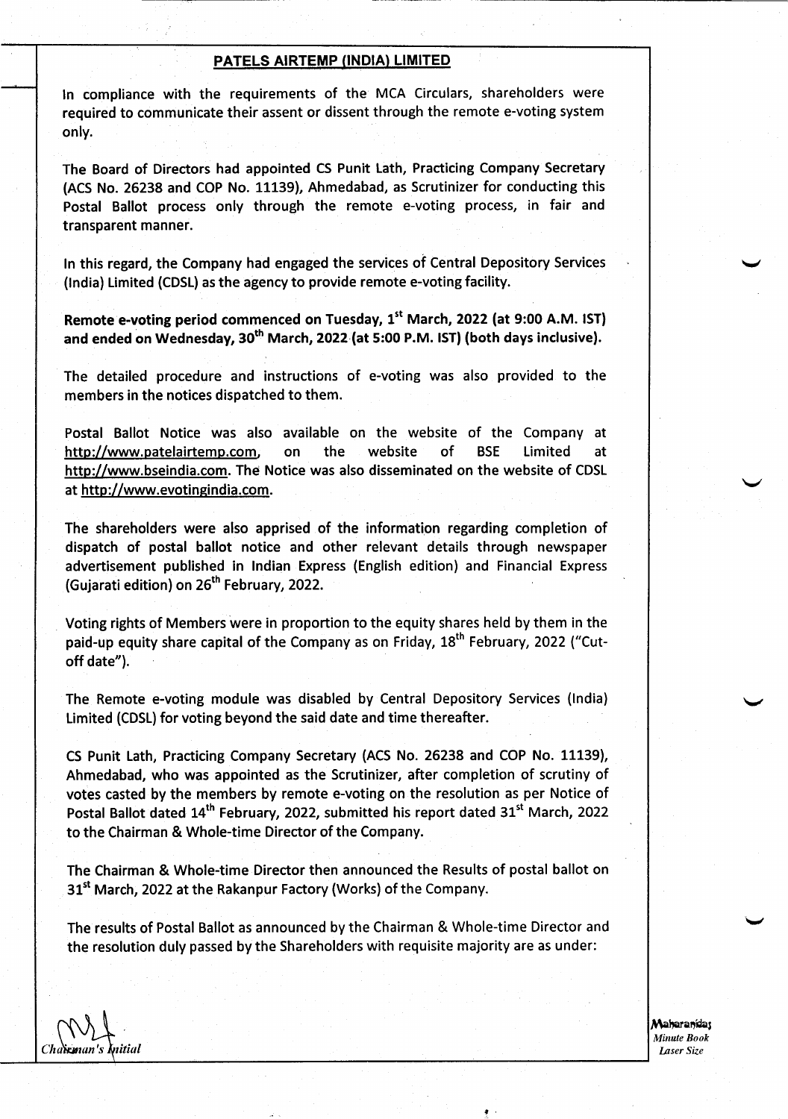ln compliance with the requirements of the MCA Circulars, shareholders were required to communicate their assent or dissent through the remote e-voting system only.

The Board of Directors had appointed CS Punit Lath, Practicing Company Secretary (ACS No. 26238 and COP No. 11139), Ahmedabad, as Scrutinizer for conducting this Postal Ballot process only through the remote e-voting process, in fair and transparent manner.

tn this regard, the Company had engaged the services of Central Depository Services (lndia) Limited (CDSL) as the agency to provide remote e-voting facility.

Remote e-voting period commenced on Tuesday,  $1<sup>st</sup>$  March, 2022 (at 9:00 A.M. IST) and ended on Wednesday,  $30<sup>th</sup>$  March, 2022 (at 5:00 P.M. IST) (both days inclusive).

The detailed procedure and instructions of e-voting was also provided to the members in the notices dispatched to them.

Postal Ballot Notice was also available on the website of the Company at http://www.patelairtemp.com. on the website of BSE Limited at http://www.bseindia.com. The Notice was also disseminated on the website of CDSL at http://www.evotingindia.com.

The shareholders were also apprised of the information regarding completion of dispatch of postal ballot notice and other relevant details through newspaper advertisement published in lndian Express (English edition) and Financial Express (Gujarati edition) on 26<sup>th</sup> February, 2022.

Voting rights of Members were in proportion to the equity shares held by them in the paid-up equity share capital of the Company as on Friday,  $18<sup>th</sup>$  February, 2022 ("Cutoff date").

The Remote e-voting module was disabled by Central Depository Services (lndia) Limited (CDSL) for voting beyond the said date and time thereafter.

CS Punit Lath, Practicing Company Secretary (ACS No. 26238 and COP No. 11139), Ahmedabad, who was appointed as the Scrutinizer, after completion of scrutiny of votes casted by the members by remote e-voting on the resolution as per Notice of Postal Ballot dated 14<sup>th</sup> February, 2022, submitted his report dated 31<sup>st</sup> March, 2022 to the Chairman & Whole-time Director of the Company.

The Chairman & Whole-time Director then announced the Results of postal ballot on 31<sup>st</sup> March, 2022 at the Rakanpur Factory (Works) of the Company.

The results of Postal Ballot as announced by the Chairman & Whole-time Director and the resolution duly passed by the Shareholders with requisite majority are as under:

,.

Maharanidar Minute Book Iaser Size

v

v

v

Cha**ìrm**an's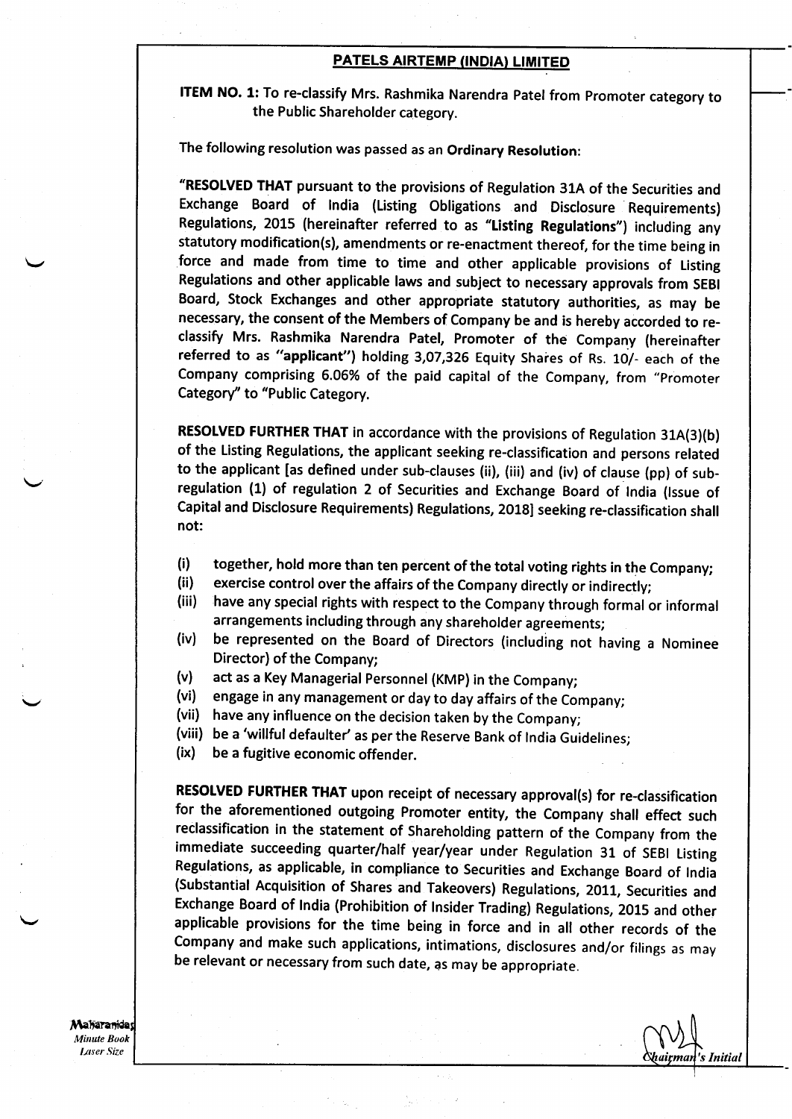ITEM NO. 1: To re-classify Mrs. Rashmika Narendra Patel from promoter category to the Public Shareholder category.

The following resolution was passed as an Ordinary Resolution:

'RESOLVED THAT pursuant to the provisions of Regulation 31A of the Securities and Exchange Board of lndia (Listing Obligations and Disclosure Requirements) Regulations, 2015 (hereinafter referred to as "Listing Regulations") including any statutory modification(s), amendments or re-enactment thereof, for the time being in force and made from time to time and other applicable provisions of Listing Regulations and other applicable laws and subject to necessary approvals from SEBI Board, Stock Exchanges and other appropriate statutory authorities, as may be necessary, the consent of the Members of Company be and is hereby accorded to reclassify Mrs. Rashmika Narendra Patel, Promoter of the Company (hereinafter referred to as "applicant") holding 3,07,326 Equity Shares of Rs. 10/- each of the company comprising 6.06% of the paid capital of the company, from "promoter Category" to "Public Category.

RESOLVED FURTHER THAT in accordance with the provisions of Regulation 31A(3)(b) of the Listing Regulations, the applicant seeking re-classification and persons related to the applicant [as defined under sub-clauses (ii), (iii) and (iv) of clause (pp) of subregulation (1) of regulation 2 of Securities and Exchange Board of tndia (lssue of Capital and Disclosure Requirements) Regulations, 2018] seeking re-classification shall not:

- 
- 
- (i) together, hold more than ten percent of the total voting rights in the Company;<br>(ii) exercise control over the affairs of the Company directly or indirectly;<br>(iii) have any special rights with respect to the Company th
- (iv) be represented on the Board of Directors (including not having a Nominee Director) of the Company;
- 
- (v) act as a Key Managerial Personnel (KMP) in the Company;<br>(vi) engage in any management or day to day affairs of the Company;<br>(vii) have any influence on the decision taken by the Company;
- 
- (viii) be a 'willful defaulter' as per the Reserve Bank of India Guidelines;<br>(ix) be a fugitive economic offender.
- 

RESOLVED FURTHER THAT upon receipt of necessary approval(s) for re-classification for the aforementioned outgoing Promoter entity, the Company shall effect such reclassification in the statement of Shareholding pattern of the Company from the immediate succeeding quarter/hatf year/year under Regulation 31 of SEBI Listing Regulations, as applicable, in compliance to Securities and Exchange Board of lndia (Substantia! Acquisition of Shares and Takeovers) Regulations, ZOLL, Securities and Exchange Board of lndia (Prohibition of lnsider Trading) Regulations, 2015 and other applicable provisions for the time being in force and in alt other records of the Company and make such applications, intimations, disclosures and/or filings as may be relevant or necessary from such date, as may be appropriate.

's Initial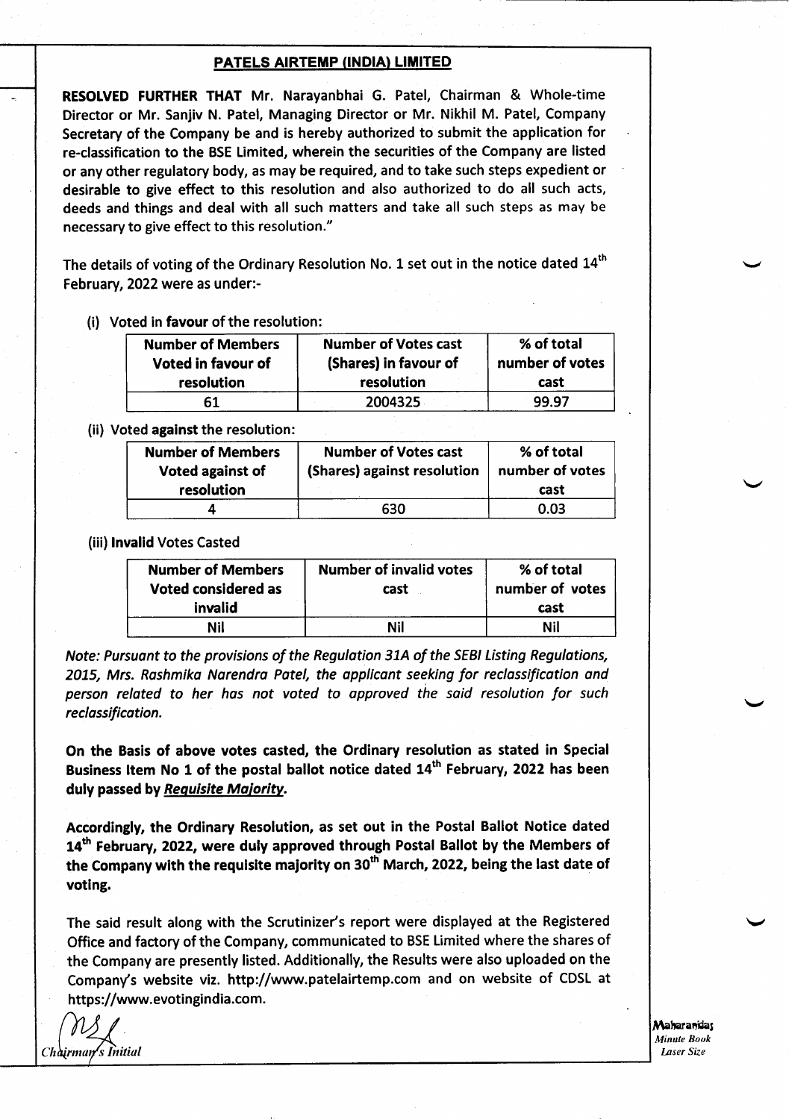RESOLVED FURTHER THAT Mr. Narayanbhai G. Patel, Chairman & Whole-time Director or Mr. Sanjiv N. Patel, Managing Director or Mr. Nikhil M. Patel, Company Secretary of the Company be and is hereby authorized to submit the application for re-classification to the BSE Limited, wherein the securities of the Company are listed or any other regulatory body, as may be required, and to take such steps expedient or desirable to give effect to this resolution and also authorized to do all such acts, deeds and things and deal with all such matters and take all such steps as may be necessary to give effect to this resolution."

The details of voting of the Ordinary Resolution No. 1 set out in the notice dated  $14<sup>th</sup>$ February, 2O22were as under:-

(i) Voted in favour of the resolution:

| <b>Number of Members</b><br>Voted in favour of | <b>Number of Votes cast</b><br>(Shares) in favour of | % of total<br>number of votes |
|------------------------------------------------|------------------------------------------------------|-------------------------------|
| resolution                                     | resolution                                           | cast                          |
|                                                | 2004325                                              | 99.97                         |

(ii) Voted against the resolution:

| <b>Number of Members</b><br>Voted against of<br>resolution | <b>Number of Votes cast</b><br>(Shares) against resolution | % of total<br>number of votes<br>cast |
|------------------------------------------------------------|------------------------------------------------------------|---------------------------------------|
|                                                            |                                                            |                                       |
|                                                            | 630                                                        | 0.03                                  |

(iii) !nvalid Votes Casted

| <b>Number of Members</b><br>Voted considered as | <b>Number of invalid votes</b><br>cast | % of total<br>number of votes |
|-------------------------------------------------|----------------------------------------|-------------------------------|
| invalid                                         |                                        | cast                          |
| Nil                                             | Nil                                    | Nil                           |

Note: Pursuant to the provisions of the Regulation 31A of the SEBI Listing Regulations, 2015, Mrs. Rashmika Narendra Patel, the applicant seeking for reclassification and person related to her has not voted to approved the said resolution for such reclossificotion.

On the Basis of above votes casted, the Ordinary resolution as stated in Special Business Item No 1 of the postal ballot notice dated 14<sup>th</sup> February, 2022 has been duly passed by Requisite Majority.

Accordingly, the Ordinary Resolution, as set out in the Postal Ballot Notice dated 14<sup>th</sup> February, 2022, were duly approved through Postal Ballot by the Members of the Company with the requisite majority on 30<sup>th</sup> March, 2022, being the last date of voting.

The said result along with the Scrutinizer's report were displayed at the Registered Office and factory of the Company, communicated to BSE Limited where the shares of the Company are presently listed. Additionally, the Results were also uploaded on the Company's website viz. http://www.patelairtemp.com and on website of CDSL at https://www.evotingindia.com.

Chairman's Initial

Maharanidas Minule Book Laser Size

v

 $\leftarrow$